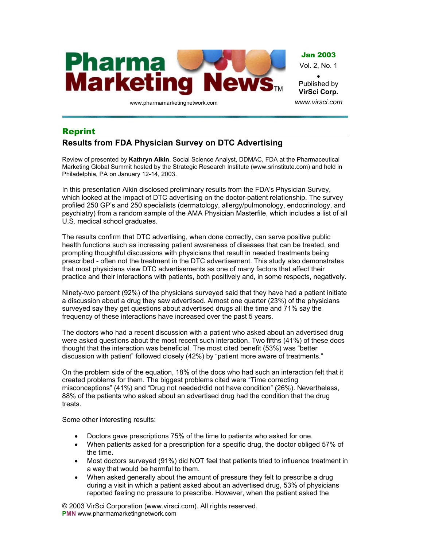

www.pharmamarketingnetwork.com

**VirSci Corp.** *www.virsci.com*

## Reprint

## **Results from FDA Physician Survey on DTC Advertising**

Review of presented by **Kathryn Aikin**, Social Science Analyst, DDMAC, FDA at the Pharmaceutical Marketing Global Summit hosted by the Strategic Research Institute (www.srinstitute.com) and held in Philadelphia, PA on January 12-14, 2003.

In this presentation Aikin disclosed preliminary results from the FDA's Physician Survey, which looked at the impact of DTC advertising on the doctor-patient relationship. The survey profiled 250 GP's and 250 specialists (dermatology, allergy/pulmonology, endocrinology, and psychiatry) from a random sample of the AMA Physician Masterfile, which includes a list of all U.S. medical school graduates.

The results confirm that DTC advertising, when done correctly, can serve positive public health functions such as increasing patient awareness of diseases that can be treated, and prompting thoughtful discussions with physicians that result in needed treatments being prescribed - often not the treatment in the DTC advertisement. This study also demonstrates that most physicians view DTC advertisements as one of many factors that affect their practice and their interactions with patients, both positively and, in some respects, negatively.

Ninety-two percent (92%) of the physicians surveyed said that they have had a patient initiate a discussion about a drug they saw advertised. Almost one quarter (23%) of the physicians surveyed say they get questions about advertised drugs all the time and 71% say the frequency of these interactions have increased over the past 5 years.

The doctors who had a recent discussion with a patient who asked about an advertised drug were asked questions about the most recent such interaction. Two fifths (41%) of these docs thought that the interaction was beneficial. The most cited benefit (53%) was "better discussion with patient" followed closely (42%) by "patient more aware of treatments."

On the problem side of the equation, 18% of the docs who had such an interaction felt that it created problems for them. The biggest problems cited were "Time correcting misconceptions" (41%) and "Drug not needed/did not have condition" (26%). Nevertheless, 88% of the patients who asked about an advertised drug had the condition that the drug treats.

Some other interesting results:

- Doctors gave prescriptions 75% of the time to patients who asked for one.
- When patients asked for a prescription for a specific drug, the doctor obliged 57% of the time.
- Most doctors surveyed (91%) did NOT feel that patients tried to influence treatment in a way that would be harmful to them.
- When asked generally about the amount of pressure they felt to prescribe a drug during a visit in which a patient asked about an advertised drug, 53% of physicians reported feeling no pressure to prescribe. However, when the patient asked the

© 2003 VirSci Corporation (www.virsci.com). All rights reserved. **PMN** www.pharmamarketingnetwork.com